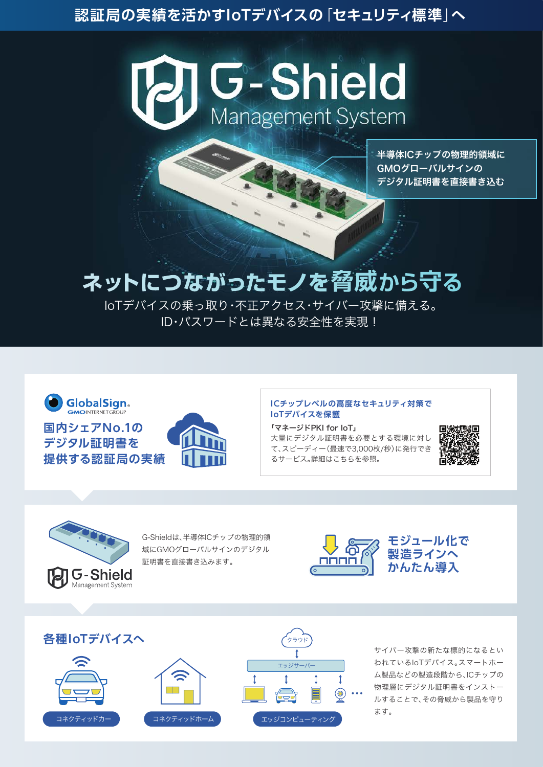# **認証局の実績を活かすIoTデバイスの**「**セキュリティ標準**」**へ**



半導体ICチップの物理的領域に GMOグローバルサインの デジタル証明書を直接書き込む

# ネットにつながったモノを脅威から守る

IoTデバイスの乗っ取り・不正アクセス・サイバー攻撃に備える。 ID・パスワードとは異なる安全性を実現!



#### **ICチップレベルの高度なセキュリティ対策で IoTデバイスを保護**

「マネージドPKI for IoT」 大量にデジタル証明書を必要とする環境に対し て、スピーディー(最速で3,000枚/秒)に発行でき るサービス。詳細はこちらを参照。





G-Shieldは、半導体ICチップの物理的領 域にGMOグローバルサインのデジタル 証明書を直接書き込みます。





サイバー攻撃の新たな標的になるとい われているIoTデバイス。スマートホー ム製品などの製造段階から、ICチップの 物理層にデジタル証明書をインストー ルすることで、その脅威から製品を守り ます。